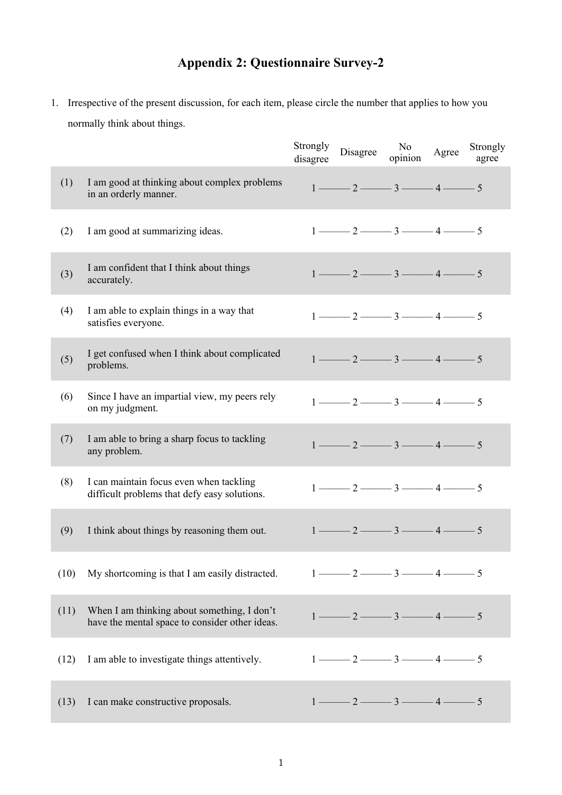## **Appendix 2: Questionnaire Survey-2**

1. Irrespective of the present discussion, for each item, please circle the number that applies to how you normally think about things.

|      |                                                                                               | Strongly<br>disagree | Disagree                                                                    | No<br>opinion | Agree | Strongly<br>agree |
|------|-----------------------------------------------------------------------------------------------|----------------------|-----------------------------------------------------------------------------|---------------|-------|-------------------|
| (1)  | I am good at thinking about complex problems<br>in an orderly manner.                         |                      | $1 \longrightarrow 2 \longrightarrow 3 \longrightarrow 4 \longrightarrow 5$ |               |       |                   |
| (2)  | I am good at summarizing ideas.                                                               |                      | $1 \longrightarrow 2 \longrightarrow 3 \longrightarrow 4 \longrightarrow 5$ |               |       |                   |
| (3)  | I am confident that I think about things<br>accurately.                                       |                      | $1 \longrightarrow 2 \longrightarrow 3 \longrightarrow 4 \longrightarrow 5$ |               |       |                   |
| (4)  | I am able to explain things in a way that<br>satisfies everyone.                              |                      | $1 \longrightarrow 2 \longrightarrow 3 \longrightarrow 4 \longrightarrow 5$ |               |       |                   |
| (5)  | I get confused when I think about complicated<br>problems.                                    |                      | $1 \longrightarrow 2 \longrightarrow 3 \longrightarrow 4 \longrightarrow 5$ |               |       |                   |
| (6)  | Since I have an impartial view, my peers rely<br>on my judgment.                              |                      | $1 \longrightarrow 2 \longrightarrow 3 \longrightarrow 4 \longrightarrow 5$ |               |       |                   |
| (7)  | I am able to bring a sharp focus to tackling<br>any problem.                                  |                      | $1 \longrightarrow 2 \longrightarrow 3 \longrightarrow 4 \longrightarrow 5$ |               |       |                   |
| (8)  | I can maintain focus even when tackling<br>difficult problems that defy easy solutions.       |                      | $1 \longrightarrow 2 \longrightarrow 3 \longrightarrow 4 \longrightarrow 5$ |               |       |                   |
| (9)  | I think about things by reasoning them out.                                                   |                      | $1 \longrightarrow 2 \longrightarrow 3 \longrightarrow 4 \longrightarrow 5$ |               |       |                   |
| (10) | My shortcoming is that I am easily distracted.                                                |                      | $1 \longrightarrow 2 \longrightarrow 3 \longrightarrow 4 \longrightarrow 5$ |               |       |                   |
| (11) | When I am thinking about something, I don't<br>have the mental space to consider other ideas. |                      | $1 \longrightarrow 2 \longrightarrow 3 \longrightarrow 4 \longrightarrow 5$ |               |       |                   |
| (12) | I am able to investigate things attentively.                                                  |                      | $1 \longrightarrow 2 \longrightarrow 3 \longrightarrow 4 \longrightarrow 5$ |               |       |                   |
| (13) | I can make constructive proposals.                                                            |                      | $1 \longrightarrow 2 \longrightarrow 3 \longrightarrow 4 \longrightarrow 5$ |               |       |                   |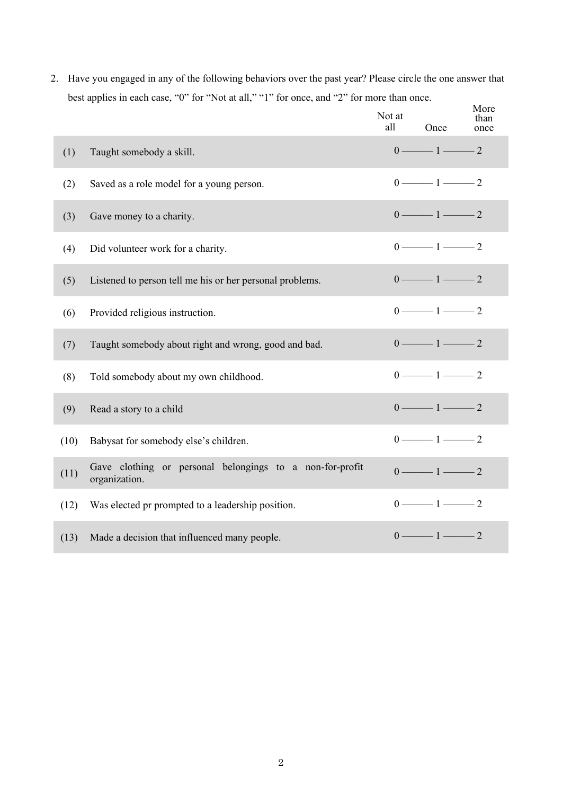2. Have you engaged in any of the following behaviors over the past year? Please circle the one answer that best applies in each case, "0" for "Not at all," "1" for once, and "2" for more than once.

|      |                                                                           | Not at<br>all | Once                                    | More<br>than<br>once |
|------|---------------------------------------------------------------------------|---------------|-----------------------------------------|----------------------|
| (1)  | Taught somebody a skill.                                                  |               | $0 \longrightarrow 1 \longrightarrow 2$ |                      |
| (2)  | Saved as a role model for a young person.                                 |               | $0 \longrightarrow 1 \longrightarrow 2$ |                      |
| (3)  | Gave money to a charity.                                                  |               | $0 \longrightarrow 1 \longrightarrow 2$ |                      |
| (4)  | Did volunteer work for a charity.                                         |               | $0 \longrightarrow 1 \longrightarrow 2$ |                      |
| (5)  | Listened to person tell me his or her personal problems.                  |               | $0 \longrightarrow 1 \longrightarrow 2$ |                      |
| (6)  | Provided religious instruction.                                           |               | $0 \longrightarrow 1 \longrightarrow 2$ |                      |
| (7)  | Taught somebody about right and wrong, good and bad.                      |               | $0 \longrightarrow 1 \longrightarrow 2$ |                      |
| (8)  | Told somebody about my own childhood.                                     |               | $0 \longrightarrow 1 \longrightarrow 2$ |                      |
| (9)  | Read a story to a child                                                   |               | $0 \longrightarrow 1 \longrightarrow 2$ |                      |
| (10) | Babysat for somebody else's children.                                     |               | $0 \longrightarrow 1 \longrightarrow 2$ |                      |
| (11) | Gave clothing or personal belongings to a non-for-profit<br>organization. |               | $0 \longrightarrow 1 \longrightarrow 2$ |                      |
| (12) | Was elected pr prompted to a leadership position.                         |               | $0 \longrightarrow 1 \longrightarrow 2$ |                      |
| (13) | Made a decision that influenced many people.                              |               | $0 \longrightarrow 1 \longrightarrow 2$ |                      |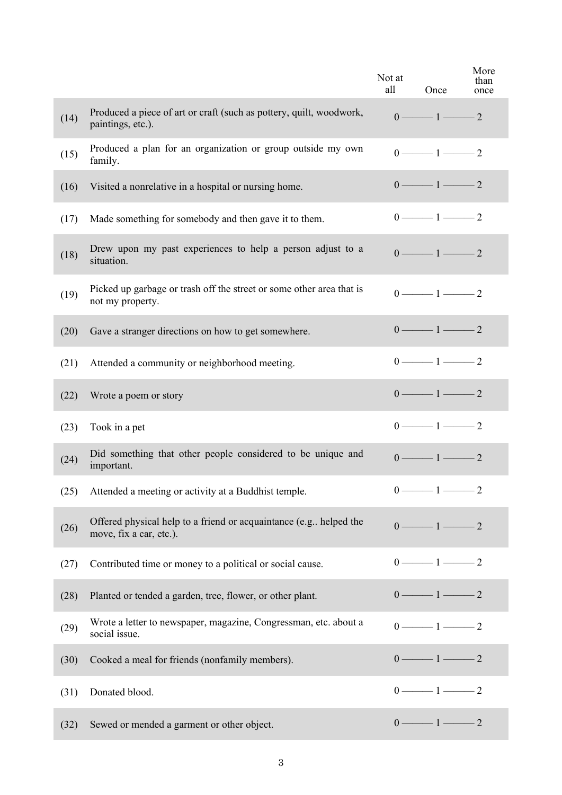|      |                                                                                                | Not at<br>all | Once                                    | More<br>than<br>once |
|------|------------------------------------------------------------------------------------------------|---------------|-----------------------------------------|----------------------|
| (14) | Produced a piece of art or craft (such as pottery, quilt, woodwork,<br>paintings, etc.).       |               | $0 \longrightarrow 1 \longrightarrow 2$ |                      |
| (15) | Produced a plan for an organization or group outside my own<br>family.                         |               | $0 \longrightarrow 1 \longrightarrow 2$ |                      |
| (16) | Visited a nonrelative in a hospital or nursing home.                                           |               | $0 \longrightarrow 1 \longrightarrow 2$ |                      |
| (17) | Made something for somebody and then gave it to them.                                          |               | $0 \longrightarrow 1 \longrightarrow 2$ |                      |
| (18) | Drew upon my past experiences to help a person adjust to a<br>situation.                       |               | $0 \longrightarrow 1 \longrightarrow 2$ |                      |
| (19) | Picked up garbage or trash off the street or some other area that is<br>not my property.       |               | $0 \longrightarrow 1 \longrightarrow 2$ |                      |
| (20) | Gave a stranger directions on how to get somewhere.                                            |               | $0 \longrightarrow 1 \longrightarrow 2$ |                      |
| (21) | Attended a community or neighborhood meeting.                                                  |               | $0 \longrightarrow 1 \longrightarrow 2$ |                      |
| (22) | Wrote a poem or story                                                                          |               | $0 \longrightarrow 1 \longrightarrow 2$ |                      |
| (23) | Took in a pet                                                                                  |               | $0 \longrightarrow 1 \longrightarrow 2$ |                      |
| (24) | Did something that other people considered to be unique and<br>important.                      |               | $0 \longrightarrow 1 \longrightarrow 2$ |                      |
| (25) | Attended a meeting or activity at a Buddhist temple.                                           |               | $0 \longrightarrow 1 \longrightarrow 2$ |                      |
| (26) | Offered physical help to a friend or acquaintance (e.g., helped the<br>move, fix a car, etc.). |               | $0 \longrightarrow 1 \longrightarrow 2$ |                      |
| (27) | Contributed time or money to a political or social cause.                                      |               | $0 \longrightarrow 1 \longrightarrow 2$ |                      |
| (28) | Planted or tended a garden, tree, flower, or other plant.                                      |               | $0 \longrightarrow 1 \longrightarrow 2$ |                      |
| (29) | Wrote a letter to newspaper, magazine, Congressman, etc. about a<br>social issue.              |               | $0 \longrightarrow 1 \longrightarrow 2$ |                      |
| (30) | Cooked a meal for friends (nonfamily members).                                                 |               | $0 \longrightarrow 1 \longrightarrow 2$ |                      |
| (31) | Donated blood.                                                                                 |               | $0 \longrightarrow 1 \longrightarrow 2$ |                      |
| (32) | Sewed or mended a garment or other object.                                                     |               | $0 \longrightarrow 1 \longrightarrow 2$ |                      |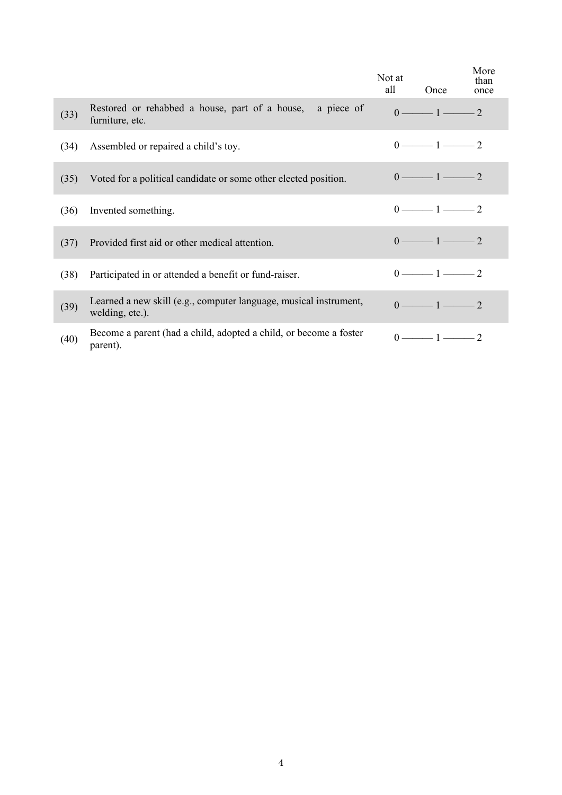|      |                                                                                      | Not at<br>all | Once                                    | More<br>than<br>once |
|------|--------------------------------------------------------------------------------------|---------------|-----------------------------------------|----------------------|
| (33) | a piece of<br>Restored or rehabbed a house, part of a house,<br>furniture, etc.      |               | $0 \longrightarrow 1 \longrightarrow 2$ |                      |
| (34) | Assembled or repaired a child's toy.                                                 |               | $0 \longrightarrow 1 \longrightarrow 2$ |                      |
| (35) | Voted for a political candidate or some other elected position.                      |               | $0 \longrightarrow 1 \longrightarrow 2$ |                      |
| (36) | Invented something.                                                                  |               | $0 \longrightarrow 1 \longrightarrow 2$ |                      |
| (37) | Provided first aid or other medical attention.                                       |               | $0 \longrightarrow 1 \longrightarrow 2$ |                      |
| (38) | Participated in or attended a benefit or fund-raiser.                                |               | $0 \longrightarrow 1 \longrightarrow 2$ |                      |
| (39) | Learned a new skill (e.g., computer language, musical instrument,<br>welding, etc.). |               | $0 \longrightarrow 1 \longrightarrow 2$ |                      |
| (40) | Become a parent (had a child, adopted a child, or become a foster<br>parent).        |               | $0 \longrightarrow 1 \longrightarrow 2$ |                      |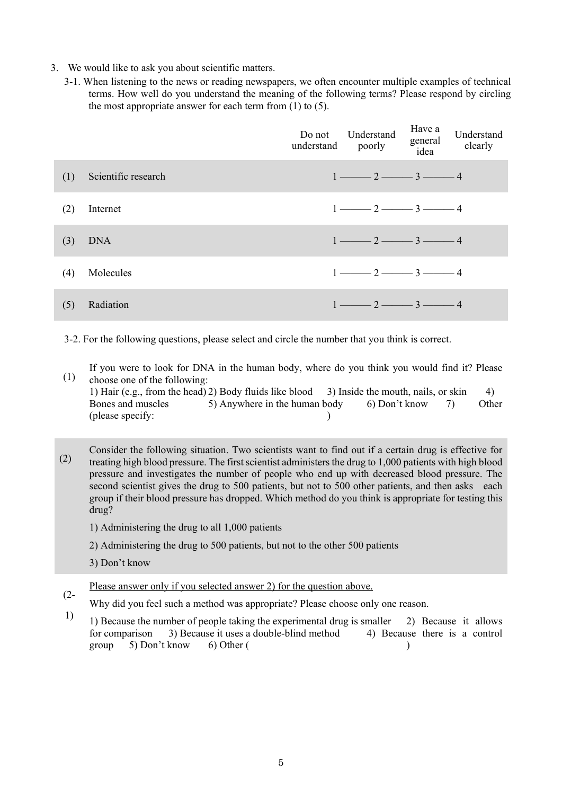- 3. We would like to ask you about scientific matters.
	- 3-1. When listening to the news or reading newspapers, we often encounter multiple examples of technical terms. How well do you understand the meaning of the following terms? Please respond by circling the most appropriate answer for each term from (1) to (5).

|     |                     | Do not<br>understand poorly | Understand                                                | Have a<br>general<br>idea | Understand<br>clearly |
|-----|---------------------|-----------------------------|-----------------------------------------------------------|---------------------------|-----------------------|
| (1) | Scientific research |                             | $1 \longrightarrow 2 \longrightarrow 3 \longrightarrow 4$ |                           |                       |
| (2) | Internet            |                             | $1 \longrightarrow 2 \longrightarrow 3 \longrightarrow 4$ |                           |                       |
| (3) | <b>DNA</b>          |                             | $1 \longrightarrow 2 \longrightarrow 3 \longrightarrow 4$ |                           |                       |
| (4) | Molecules           |                             | $1 \longrightarrow 2 \longrightarrow 3 \longrightarrow 4$ |                           |                       |
| (5) | Radiation           |                             | $1 \longrightarrow 2 \longrightarrow 3 \longrightarrow 4$ |                           |                       |

3-2. For the following questions, please select and circle the number that you think is correct.

(1) If you were to look for DNA in the human body, where do you think you would find it? Please choose one of the following:

|                   | 1) Hair (e.g., from the head) 2) Body fluids like blood 3) Inside the mouth, nails, or skin |  |       |
|-------------------|---------------------------------------------------------------------------------------------|--|-------|
| Bones and muscles | 5) Anywhere in the human body 6) Don't know 7                                               |  | Other |
| (please specify:  |                                                                                             |  |       |

(2) Consider the following situation. Two scientists want to find out if a certain drug is effective for treating high blood pressure. The first scientist administers the drug to 1,000 patients with high blood pressure and investigates the number of people who end up with decreased blood pressure. The second scientist gives the drug to 500 patients, but not to 500 other patients, and then asks each group if their blood pressure has dropped. Which method do you think is appropriate for testing this drug?

1) Administering the drug to all 1,000 patients

2) Administering the drug to 500 patients, but not to the other 500 patients

3) Don't know

- $(2 -$ Please answer only if you selected answer 2) for the question above.
- Why did you feel such a method was appropriate? Please choose only one reason.
- 1) 1) Because the number of people taking the experimental drug is smaller 2) Because it allows for comparison 3) Because it uses a double-blind method 4) Because there is a control group 5) Don't know 6) Other ( )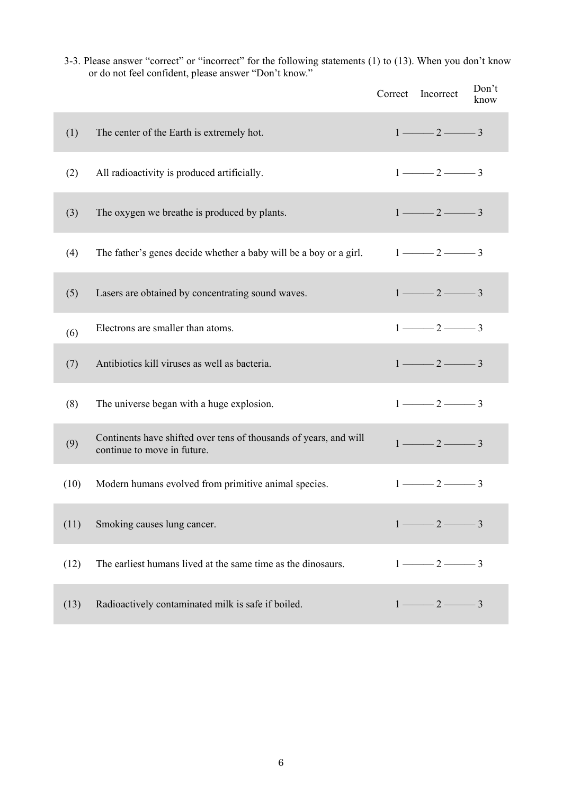3-3. Please answer "correct" or "incorrect" for the following statements (1) to (13). When you don't know or do not feel confident, please answer "Don't know."

|      |                                                                                                  | Correct Incorrect                       |                                         | Don't<br>know |
|------|--------------------------------------------------------------------------------------------------|-----------------------------------------|-----------------------------------------|---------------|
| (1)  | The center of the Earth is extremely hot.                                                        | $1 \longrightarrow 2 \longrightarrow 3$ |                                         |               |
| (2)  | All radioactivity is produced artificially.                                                      | $1 \longrightarrow 2 \longrightarrow 3$ |                                         |               |
| (3)  | The oxygen we breathe is produced by plants.                                                     | $1 \longrightarrow 2 \longrightarrow 3$ |                                         |               |
| (4)  | The father's genes decide whether a baby will be a boy or a girl.                                | $1 \longrightarrow 2 \longrightarrow 3$ |                                         |               |
| (5)  | Lasers are obtained by concentrating sound waves.                                                | $1 \longrightarrow 2 \longrightarrow 3$ |                                         |               |
| (6)  | Electrons are smaller than atoms.                                                                |                                         | $1 \longrightarrow 2 \longrightarrow 3$ |               |
| (7)  | Antibiotics kill viruses as well as bacteria.                                                    |                                         | $1 \longrightarrow 2 \longrightarrow 3$ |               |
| (8)  | The universe began with a huge explosion.                                                        |                                         | $1 \longrightarrow 2 \longrightarrow 3$ |               |
| (9)  | Continents have shifted over tens of thousands of years, and will<br>continue to move in future. |                                         | $1 \longrightarrow 2 \longrightarrow 3$ |               |
| (10) | Modern humans evolved from primitive animal species.                                             |                                         | $1 \longrightarrow 2 \longrightarrow 3$ |               |
| (11) | Smoking causes lung cancer.                                                                      | $1 \longrightarrow 2 \longrightarrow 3$ |                                         |               |
| (12) | The earliest humans lived at the same time as the dinosaurs.                                     |                                         | $1 \longrightarrow 2 \longrightarrow 3$ |               |
| (13) | Radioactively contaminated milk is safe if boiled.                                               |                                         | $1 \longrightarrow 2 \longrightarrow 3$ |               |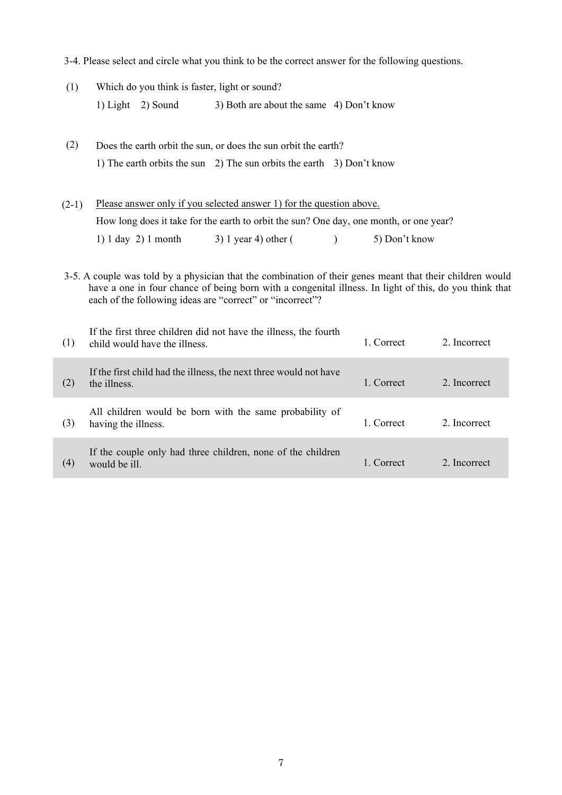|         | 3-4. Please select and circle what you think to be the correct answer for the following questions.                                                                                                                                                                               |                               |                                                                                        |           |               |              |
|---------|----------------------------------------------------------------------------------------------------------------------------------------------------------------------------------------------------------------------------------------------------------------------------------|-------------------------------|----------------------------------------------------------------------------------------|-----------|---------------|--------------|
| (1)     |                                                                                                                                                                                                                                                                                  |                               | Which do you think is faster, light or sound?                                          |           |               |              |
|         |                                                                                                                                                                                                                                                                                  | 1) Light $2)$ Sound           | 3) Both are about the same 4) Don't know                                               |           |               |              |
| (2)     |                                                                                                                                                                                                                                                                                  |                               | Does the earth orbit the sun, or does the sun orbit the earth?                         |           |               |              |
|         | 1) The earth orbits the sun 2) The sun orbits the earth 3) Don't know                                                                                                                                                                                                            |                               |                                                                                        |           |               |              |
| $(2-1)$ |                                                                                                                                                                                                                                                                                  |                               | Please answer only if you selected answer 1) for the question above.                   |           |               |              |
|         |                                                                                                                                                                                                                                                                                  |                               | How long does it take for the earth to orbit the sun? One day, one month, or one year? |           |               |              |
|         |                                                                                                                                                                                                                                                                                  | 1) 1 day 21 month             | $3)$ 1 year 4) other (                                                                 | $\lambda$ | 5) Don't know |              |
|         | 3-5. A couple was told by a physician that the combination of their genes meant that their children would<br>have a one in four chance of being born with a congenital illness. In light of this, do you think that<br>each of the following ideas are "correct" or "incorrect"? |                               |                                                                                        |           |               |              |
| (1)     |                                                                                                                                                                                                                                                                                  | child would have the illness. | If the first three children did not have the illness, the fourth                       |           | 1. Correct    | 2. Incorrect |
| (2)     | the illness.                                                                                                                                                                                                                                                                     |                               | If the first child had the illness, the next three would not have                      |           | 1. Correct    | 2. Incorrect |
| (3)     | having the illness.                                                                                                                                                                                                                                                              |                               | All children would be born with the same probability of                                |           | 1. Correct    | 2. Incorrect |
| (4)     | would be ill.                                                                                                                                                                                                                                                                    |                               | If the couple only had three children, none of the children                            |           | 1. Correct    | 2. Incorrect |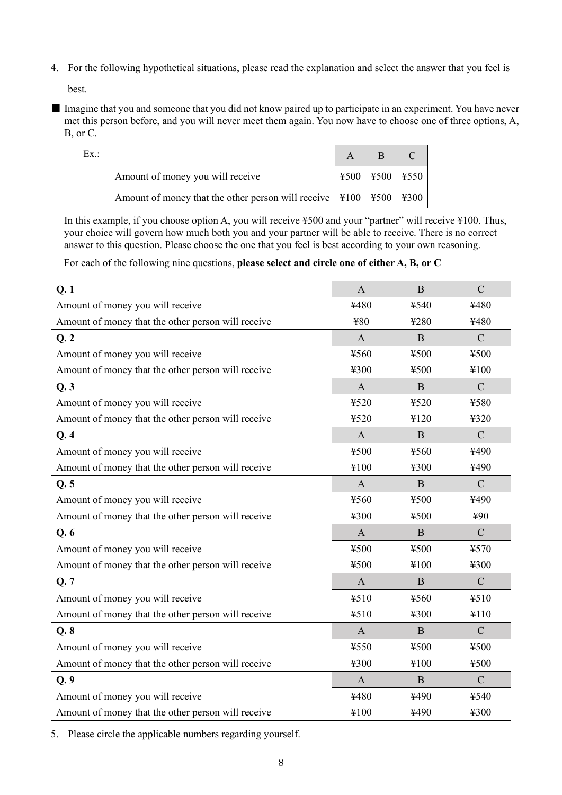4. For the following hypothetical situations, please read the explanation and select the answer that you feel is

best.

■ Imagine that you and someone that you did not know paired up to participate in an experiment. You have never met this person before, and you will never meet them again. You now have to choose one of three options, A, B, or C.

| Ex. |                                                                           | $\mathbf{A}$ | B              |  |
|-----|---------------------------------------------------------------------------|--------------|----------------|--|
|     | Amount of money you will receive                                          |              | ¥500 ¥500 ¥550 |  |
|     | Amount of money that the other person will receive $\vert$ ¥100 ¥500 ¥300 |              |                |  |

In this example, if you choose option A, you will receive ¥500 and your "partner" will receive ¥100. Thus, your choice will govern how much both you and your partner will be able to receive. There is no correct answer to this question. Please choose the one that you feel is best according to your own reasoning.

For each of the following nine questions, **please select and circle one of either A, B, or C**

| Q.1                                                | $\mathbf{A}$ | B            | $\mathbf C$   |
|----------------------------------------------------|--------------|--------------|---------------|
| Amount of money you will receive                   | ¥480         | ¥540         | ¥480          |
| Amount of money that the other person will receive | ¥80          | ¥280         | ¥480          |
| Q.2                                                | $\mathbf{A}$ | B            | $\mathsf{C}$  |
| Amount of money you will receive                   | ¥560         | ¥500         | ¥500          |
| Amount of money that the other person will receive | ¥300         | ¥500         | ¥100          |
| Q.3                                                | $\mathbf{A}$ | B            | $\mathbf C$   |
| Amount of money you will receive                   | ¥520         | ¥520         | ¥580          |
| Amount of money that the other person will receive | ¥520         | ¥120         | ¥320          |
| Q.4                                                | $\mathbf{A}$ | B            | $\mathbf C$   |
| Amount of money you will receive                   | ¥500         | ¥560         | ¥490          |
| Amount of money that the other person will receive | ¥100         | ¥300         | ¥490          |
| Q.5                                                | $\mathbf{A}$ | B            | $\mathbf C$   |
| Amount of money you will receive                   | ¥560         | ¥500         | ¥490          |
| Amount of money that the other person will receive | ¥300         | ¥500         | ¥90           |
| Q.6                                                | $\mathbf{A}$ | B            | $\mathbf C$   |
| Amount of money you will receive                   | ¥500         | ¥500         | ¥570          |
| Amount of money that the other person will receive | ¥500         | ¥100         | ¥300          |
| Q.7                                                | $\mathbf{A}$ | B            | $\mathcal{C}$ |
| Amount of money you will receive                   | ¥510         | ¥560         | ¥510          |
| Amount of money that the other person will receive | ¥510         | ¥300         | ¥110          |
| Q.8                                                | $\mathbf{A}$ | $\mathbf{B}$ | $\mathbf C$   |
| Amount of money you will receive                   | ¥550         | ¥500         | ¥500          |
| Amount of money that the other person will receive | ¥300         | ¥100         | ¥500          |
| Q.9                                                | $\mathbf{A}$ | B            | $\mathbf C$   |
| Amount of money you will receive                   | ¥480         | ¥490         | ¥540          |
| Amount of money that the other person will receive | ¥100         | ¥490         | ¥300          |

5. Please circle the applicable numbers regarding yourself.